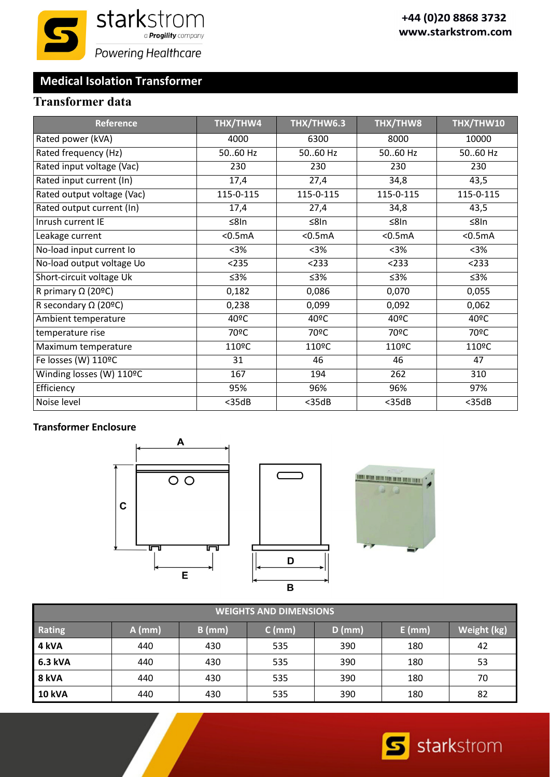# **Medical Isolation Transformer**

## **Transformer data**

| <b>Reference</b>            | THX/THW4           | THX/THW6.3         | THX/THW8           | THX/THW10          |
|-----------------------------|--------------------|--------------------|--------------------|--------------------|
| Rated power (kVA)           | 4000               | 6300               | 8000               | 10000              |
| Rated frequency (Hz)        | 50.60 Hz           | 50.60 Hz           | 50.60 Hz           | 50.60 Hz           |
| Rated input voltage (Vac)   | 230                | 230                | 230                | 230                |
| Rated input current (In)    | 17,4               | 27,4               | 34,8               | 43,5               |
| Rated output voltage (Vac)  | 115-0-115          | 115-0-115          | 115-0-115          | 115-0-115          |
| Rated output current (In)   | 17,4               | 27,4               | 34,8               | 43,5               |
| Inrush current IE           | $\leq$ 8In         | ≤8In               | ≤8In               | $\leq$ 8In         |
| Leakage current             | < 0.5mA            | < 0.5mA            | $0.5mA$            | < 0.5mA            |
| No-load input current lo    | $3%$               | $3%$               | $3%$               | $3%$               |
| No-load output voltage Uo   | < 235              | < 233              | < 233              | < 233              |
| Short-circuit voltage Uk    | ≤3%                | ≤3%                | ≤3%                | ≤3%                |
| R primary $\Omega$ (20°C)   | 0,182              | 0,086              | 0,070              | 0,055              |
| R secondary $\Omega$ (20°C) | 0,238              | 0,099              | 0,092              | 0,062              |
| Ambient temperature         | 40°C               | 40°C               | 40°C               | 40°C               |
| temperature rise            | 70°C               | 70ºC               | 70 <sup>o</sup> C  | 70 <sup>o</sup> C  |
| Maximum temperature         | 110 <sup>o</sup> C | 110 <sup>o</sup> C | 110 <sup>o</sup> C | 110 <sup>o</sup> C |
| Fe losses (W) 110ºC         | 31                 | 46                 | 46                 | 47                 |
| Winding losses (W) 110ºC    | 167                | 194                | 262                | 310                |
| Efficiency                  | 95%                | 96%                | 96%                | 97%                |
| Noise level                 | $<$ 35dB           | $<$ 35dB           | $<$ 35dB           | $<$ 35dB           |

#### **Transformer Enclosure**



| <b>WEIGHTS AND DIMENSIONS</b> |          |          |          |          |          |             |  |  |
|-------------------------------|----------|----------|----------|----------|----------|-------------|--|--|
| Rating                        | $A$ (mm) | $B$ (mm) | $C$ (mm) | $D$ (mm) | $E$ (mm) | Weight (kg) |  |  |
| 4 kVA                         | 440      | 430      | 535      | 390      | 180      | 42          |  |  |
| 6.3 kVA                       | 440      | 430      | 535      | 390      | 180      | 53          |  |  |
| 8 kVA                         | 440      | 430      | 535      | 390      | 180      | 70          |  |  |
| <b>10 kVA</b>                 | 440      | 430      | 535      | 390      | 180      | 82          |  |  |